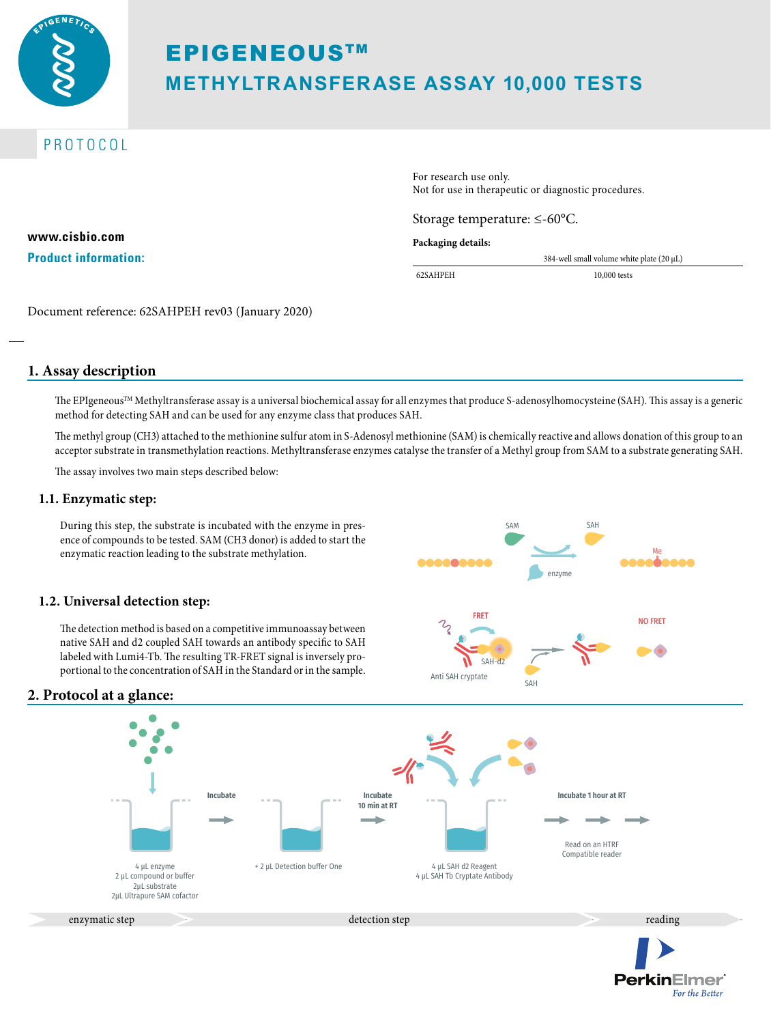

# **EPIGENEOUSTM METHYLTRANSFERASE ASSAY 10,000 TESTS**

## PROTOCOL

**www.cisbio.com Product information:** For research use only. Not for use in therapeutic or diagnostic procedures.

Storage temperature: ≤-60°C.

#### **Packaging details:**

62SAHPEH 10,000 tests

384-well small volume white plate (20 µL)

Document reference: 62SAHPEH rev03 (January 2020)

### **1. Assay description**

The EPIgeneous<sup>TM</sup> Methyltransferase assay is a universal biochemical assay for all enzymes that produce S-adenosylhomocysteine (SAH). This assay is a generic method for detecting SAH and can be used for any enzyme class that produces SAH.

The methyl group (CH3) attached to the methionine sulfur atom in S-Adenosyl methionine (SAM) is chemically reactive and allows donation of this group to an acceptor substrate in transmethylation reactions. Methyltransferase enzymes catalyse the transfer of a Methyl group from SAM to a substrate generating SAH.

The assay involves two main steps described below:

### **1.1. Enzymatic step:**

During this step, the substrate is incubated with the enzyme in presence of compounds to be tested. SAM (CH3 donor) is added to start the enzymatic reaction leading to the substrate methylation.

### **1.2. Universal detection step:**

The detection method is based on a competitive immunoassay between native SAH and d2 coupled SAH towards an antibody specific to SAH labeled with Lumi4-Tb. The resulting TR-FRET signal is inversely proportional to the concentration of SAH in the Standard or in the sample.



**PerkinElmer** 

For the Better

### **2. Protocol at a glance:**

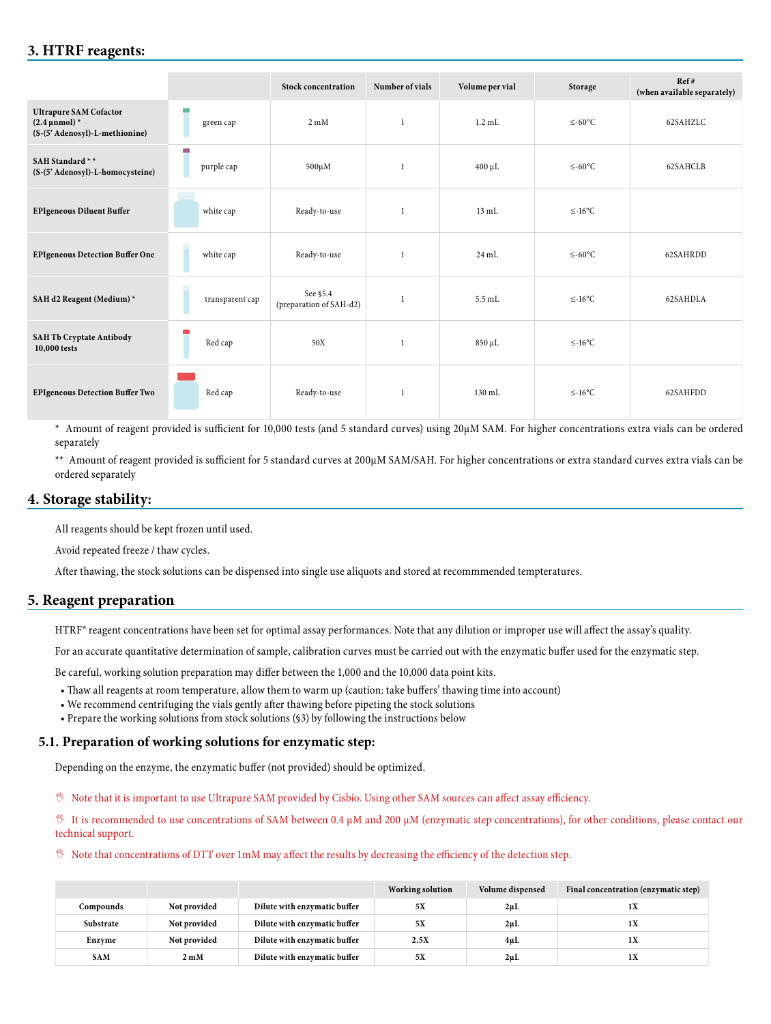### **3. HTRF reagents:**

|                                                                                       |                             | <b>Stock concentration</b>          | Number of vials | Volume per vial  | Storage      | Ref#<br>(when available separately) |
|---------------------------------------------------------------------------------------|-----------------------------|-------------------------------------|-----------------|------------------|--------------|-------------------------------------|
| <b>Ultrapure SAM Cofactor</b><br>$(2.4 \mu nmol)^*$<br>(S-(5' Adenosyl)-L-methionine) | $\blacksquare$<br>green cap | $2 \text{ mM}$                      | $\overline{1}$  | $1.2$ mL         | $\leq$ -60°C | 62SAHZLC                            |
| SAH Standard **<br>(S-(5' Adenosyl)-L-homocysteine)                                   | a.<br>purple cap            | $500 \mu M$                         | -1              | $400 \mu L$      | $\leq$ -60°C | 62SAHCLB                            |
| <b>EPIgeneous Diluent Buffer</b>                                                      | white cap                   | Ready-to-use                        | $\mathbf{1}$    | $13 \text{ mL}$  | $\leq$ -16°C |                                     |
| <b>EPIgeneous Detection Buffer One</b>                                                | white cap                   | Ready-to-use                        | $\overline{1}$  | $24 \text{ mL}$  | $≤-60°C$     | 62SAHRDD                            |
| SAH d2 Reagent (Medium) *                                                             | transparent cap             | See §5.4<br>(preparation of SAH-d2) | $\mathbf{1}$    | $5.5$ mL         | $\leq$ -16°C | 62SAHDLA                            |
| <b>SAH Tb Cryptate Antibody</b><br>10,000 tests                                       | Red cap                     | 50X                                 |                 | 850 µL           | $\leq$ -16°C |                                     |
| <b>EPIgeneous Detection Buffer Two</b>                                                | Red cap                     | Ready-to-use                        | 1               | $130 \text{ mL}$ | $\leq$ -16°C | 62SAHFDD                            |

\* Amount of reagent provided is sufficient for 10,000 tests (and 5 standard curves) using 20µM SAM. For higher concentrations extra vials can be ordered separately

\*\* Amount of reagent provided is sufficient for 5 standard curves at 200µM SAM/SAH. For higher concentrations or extra standard curves extra vials can be ordered separately

### **4. Storage stability:**

All reagents should be kept frozen until used.

Avoid repeated freeze / thaw cycles.

After thawing, the stock solutions can be dispensed into single use aliquots and stored at recommmended tempteratures.

### **5. Reagent preparation**

HTRF® reagent concentrations have been set for optimal assay performances. Note that any dilution or improper use will affect the assay's quality.

For an accurate quantitative determination of sample, calibration curves must be carried out with the enzymatic buffer used for the enzymatic step.

Be careful, working solution preparation may differ between the 1,000 and the 10,000 data point kits.

- Thaw all reagents at room temperature, allow them to warm up (caution: take buffers' thawing time into account)
- We recommend centrifuging the vials gently after thawing before pipeting the stock solutions
- Prepare the working solutions from stock solutions (§3) by following the instructions below

### **5.1. Preparation of working solutions for enzymatic step:**

Depending on the enzyme, the enzymatic buffer (not provided) should be optimized.

, Note that it is important to use Ultrapure SAM provided by Cisbio. Using other SAM sources can affect assay efficiency.

 $\%$  It is recommended to use concentrations of SAM between 0.4 μM and 200 μM (enzymatic step concentrations), for other conditions, please contact our technical support.

#### $\%$  Note that concentrations of DTT over 1mM may affect the results by decreasing the efficiency of the detection step.

|            |                |                              | Working solution | Volume dispensed | Final concentration (enzymatic step) |
|------------|----------------|------------------------------|------------------|------------------|--------------------------------------|
| Compounds  | Not provided   | Dilute with enzymatic buffer | 5X               | $2\mu L$         | 1X                                   |
| Substrate  | Not provided   | Dilute with enzymatic buffer | 5X               | $2\mu L$         | 1X                                   |
| Enzyme     | Not provided   | Dilute with enzymatic buffer | 2.5X             | 4μL              | 1X                                   |
| <b>SAM</b> | $2 \text{ mM}$ | Dilute with enzymatic buffer | 5X               | $2\mu L$         | 1X                                   |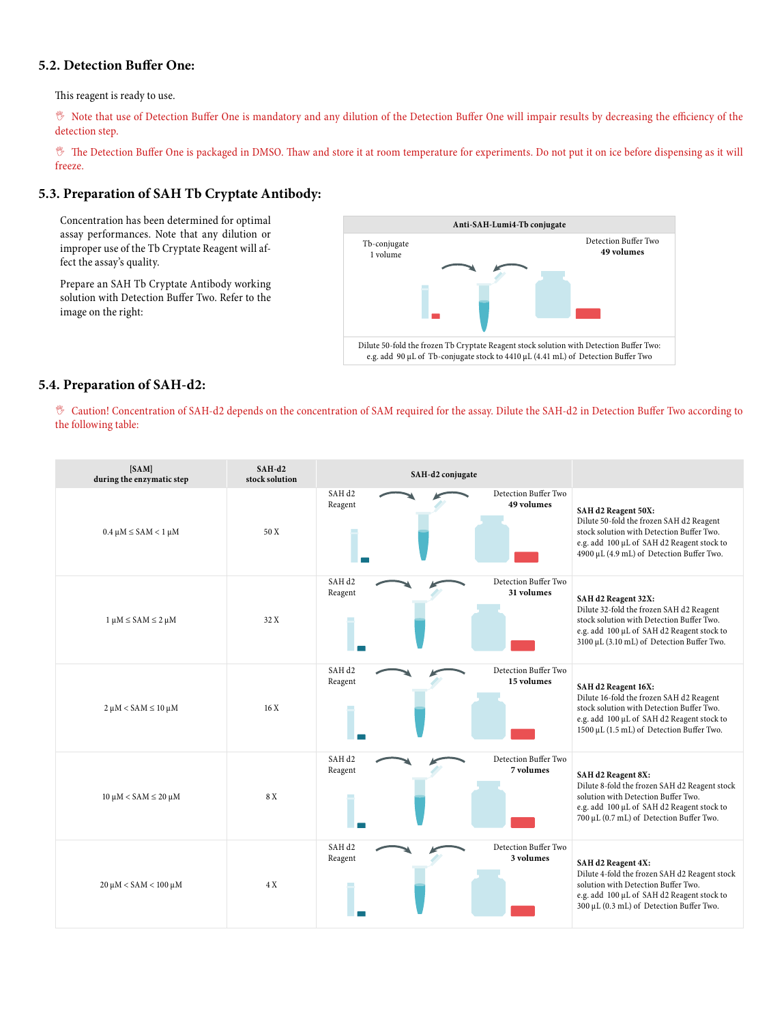### **5.2. Detection Buffer One:**

This reagent is ready to use.

, Note that use of Detection Buffer One is mandatory and any dilution of the Detection Buffer One will impair results by decreasing the efficiency of the detection step.

, The Detection Buffer One is packaged in DMSO. Thaw and store it at room temperature for experiments. Do not put it on ice before dispensing as it will freeze.

### **5.3. Preparation of SAH Tb Cryptate Antibody:**

Concentration has been determined for optimal assay performances. Note that any dilution or improper use of the Tb Cryptate Reagent will affect the assay's quality.

Prepare an SAH Tb Cryptate Antibody working solution with Detection Buffer Two. Refer to the image on the right:



### **5.4. Preparation of SAH-d2:**

, Caution! Concentration of SAH-d2 depends on the concentration of SAM required for the assay. Dilute the SAH-d2 in Detection Buffer Two according to the following table:

| [SAM]<br>during the enzymatic step  | $SAH-d2$<br>stock solution |                              | SAH-d2 conjugate |                                    |                                                                                                                                                                                                          |
|-------------------------------------|----------------------------|------------------------------|------------------|------------------------------------|----------------------------------------------------------------------------------------------------------------------------------------------------------------------------------------------------------|
| $0.4 \mu M \leq$ SAM < 1 $\mu$ M    | 50 X                       | SAH <sub>d2</sub><br>Reagent |                  | Detection Buffer Two<br>49 volumes | SAH d2 Reagent 50X:<br>Dilute 50-fold the frozen SAH d2 Reagent<br>stock solution with Detection Buffer Two.<br>e.g. add 100 µL of SAH d2 Reagent stock to<br>4900 μL (4.9 mL) of Detection Buffer Two.  |
| $1 \mu M \leq$ SAM $\leq$ 2 $\mu$ M | 32 X                       | SAH <sub>d2</sub><br>Reagent |                  | Detection Buffer Two<br>31 volumes | SAH d2 Reagent 32X:<br>Dilute 32-fold the frozen SAH d2 Reagent<br>stock solution with Detection Buffer Two.<br>e.g. add 100 µL of SAH d2 Reagent stock to<br>3100 µL (3.10 mL) of Detection Buffer Two. |
| $2 \mu M <$ SAM $\leq 10 \mu M$     | 16X                        | SAH <sub>d2</sub><br>Reagent |                  | Detection Buffer Two<br>15 volumes | SAH d2 Reagent 16X:<br>Dilute 16-fold the frozen SAH d2 Reagent<br>stock solution with Detection Buffer Two.<br>e.g. add 100 µL of SAH d2 Reagent stock to<br>1500 µL (1.5 mL) of Detection Buffer Two.  |
| $10 \mu M <$ SAM $\leq 20 \mu M$    | 8 X                        | SAH <sub>d2</sub><br>Reagent |                  | Detection Buffer Two<br>7 volumes  | SAH d2 Reagent 8X:<br>Dilute 8-fold the frozen SAH d2 Reagent stock<br>solution with Detection Buffer Two.<br>e.g. add 100 µL of SAH d2 Reagent stock to<br>700 µL (0.7 mL) of Detection Buffer Two.     |
| $20 \mu M <$ SAM < $100 \mu M$      | 4 X                        | SAH <sub>d2</sub><br>Reagent |                  | Detection Buffer Two<br>3 volumes  | SAH d2 Reagent 4X:<br>Dilute 4-fold the frozen SAH d2 Reagent stock<br>solution with Detection Buffer Two.<br>e.g. add 100 µL of SAH d2 Reagent stock to<br>300 µL (0.3 mL) of Detection Buffer Two.     |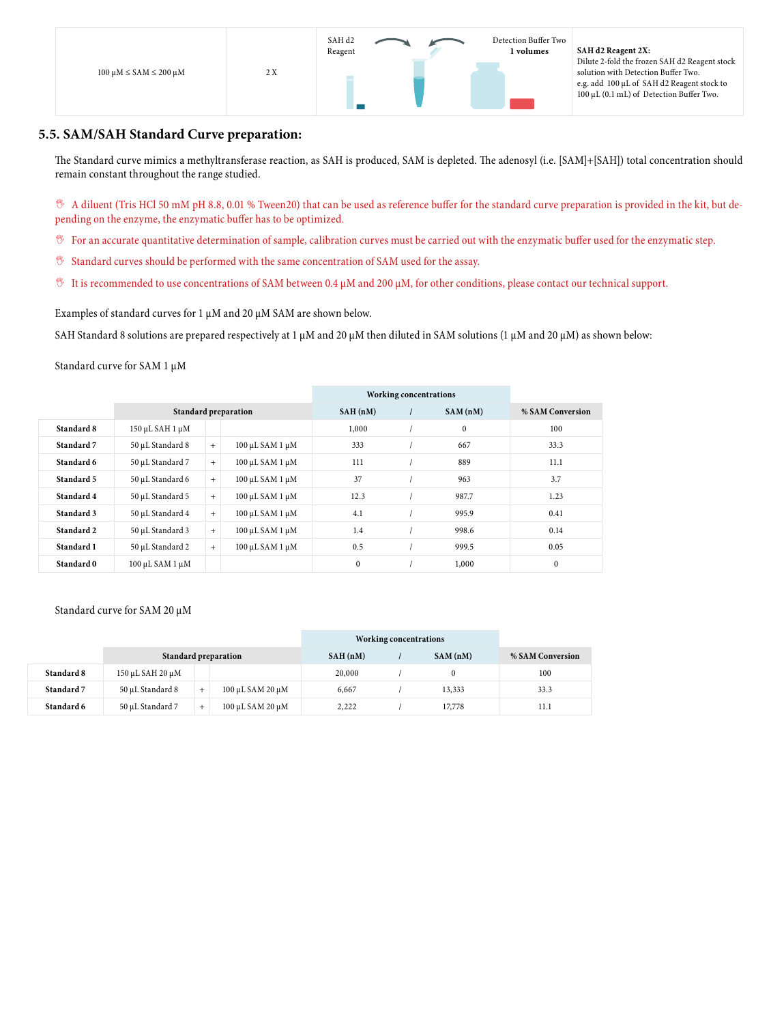

### **5.5. SAM/SAH Standard Curve preparation:**

The Standard curve mimics a methyltransferase reaction, as SAH is produced, SAM is depleted. The adenosyl (i.e. [SAM]+[SAH]) total concentration should remain constant throughout the range studied.

, A diluent (Tris HCl 50 mM pH 8.8, 0.01 % Tween20) that can be used as reference buffer for the standard curve preparation is provided in the kit, but depending on the enzyme, the enzymatic buffer has to be optimized.

- $\mathcal V$  For an accurate quantitative determination of sample, calibration curves must be carried out with the enzymatic buffer used for the enzymatic step.
- , Standard curves should be performed with the same concentration of SAM used for the assay.
- $\%$  It is recommended to use concentrations of SAM between 0.4  $\mu$ M and 200  $\mu$ M, for other conditions, please contact our technical support.

Examples of standard curves for 1  $\mu$ M and 20  $\mu$ M SAM are shown below.

SAH Standard 8 solutions are prepared respectively at 1  $\mu$ M and 20  $\mu$ M then diluted in SAM solutions (1  $\mu$ M and 20  $\mu$ M) as shown below:

Standard curve for SAM 1 µM

|            |                           |                             |                 | <b>Working concentrations</b> |  |              |                  |
|------------|---------------------------|-----------------------------|-----------------|-------------------------------|--|--------------|------------------|
|            |                           | <b>Standard preparation</b> |                 |                               |  | SAM(nM)      | % SAM Conversion |
| Standard 8 | $150 \mu L$ SAH $1 \mu M$ |                             |                 | 1,000                         |  | $\mathbf{0}$ | 100              |
| Standard 7 | 50 µL Standard 8          | $+$                         | 100 μL SAM 1 μM | 333                           |  | 667          | 33.3             |
| Standard 6 | 50 µL Standard 7          | $+$                         | 100 μL SAM 1 μM | 111                           |  | 889          | 11.1             |
| Standard 5 | 50 µL Standard 6          | $+$                         | 100 μL SAM 1 μM | 37                            |  | 963          | 3.7              |
| Standard 4 | 50 µL Standard 5          | $+$                         | 100 μL SAM 1 μM | 12.3                          |  | 987.7        | 1.23             |
| Standard 3 | 50 µL Standard 4          | $+$                         | 100 μL SAM 1 μM | 4.1                           |  | 995.9        | 0.41             |
| Standard 2 | 50 µL Standard 3          | $+$                         | 100 μL SAM 1 μM | 1.4                           |  | 998.6        | 0.14             |
| Standard 1 | 50 µL Standard 2          | $+$                         | 100 μL SAM 1 μM | 0.5                           |  | 999.5        | 0.05             |
| Standard 0 | 100 μL SAM 1 μM           |                             |                 | $\mathbf{0}$                  |  | 1,000        | $\mathbf{0}$     |

#### Standard curve for SAM 20 µM

|            |                  |                      | Working concentrations |         |                  |      |
|------------|------------------|----------------------|------------------------|---------|------------------|------|
|            |                  | Standard preparation | SAH(nM)                | SAM(nM) | % SAM Conversion |      |
| Standard 8 | 150 μL SAH 20 μM |                      |                        | 20,000  |                  | 100  |
| Standard 7 | 50 uL Standard 8 | $\overline{+}$       | 100 μL SAM 20 μM       | 6,667   | 13,333           | 33.3 |
| Standard 6 | 50 uL Standard 7 |                      | 100 μL SAM 20 μM       | 2,222   | 17,778           | 11.1 |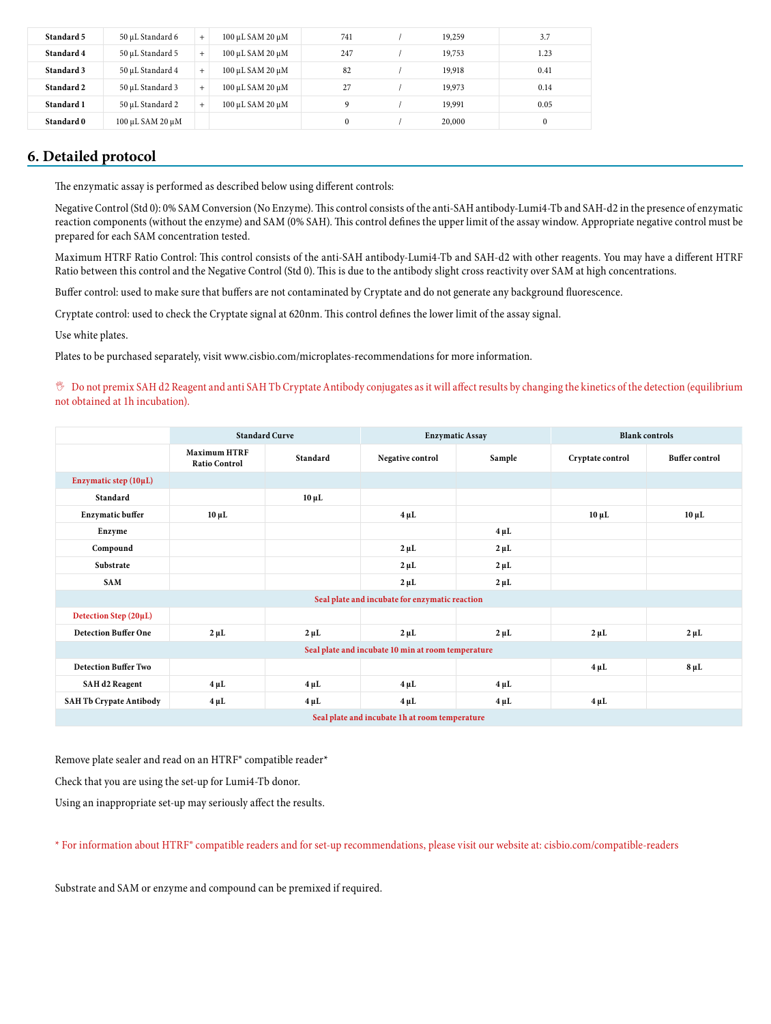| Standard 5 | 50 uL Standard 6 | $+$ | 100 μL SAM 20 μM | 741      | 19,259 | 3.7      |
|------------|------------------|-----|------------------|----------|--------|----------|
| Standard 4 | 50 uL Standard 5 | $+$ | 100 μL SAM 20 μM | 247      | 19,753 | 1.23     |
| Standard 3 | 50 uL Standard 4 | $+$ | 100 μL SAM 20 μM | 82       | 19,918 | 0.41     |
| Standard 2 | 50 µL Standard 3 | $+$ | 100 μL SAM 20 μM | 27       | 19,973 | 0.14     |
| Standard 1 | 50 uL Standard 2 | $+$ | 100 μL SAM 20 μM | 9        | 19.991 | 0.05     |
| Standard 0 | 100 μL SAM 20 μM |     |                  | $\theta$ | 20,000 | $\theta$ |

### **6. Detailed protocol**

The enzymatic assay is performed as described below using different controls:

Negative Control (Std 0): 0% SAM Conversion (No Enzyme). This control consists of the anti-SAH antibody-Lumi4-Tb and SAH-d2 in the presence of enzymatic reaction components (without the enzyme) and SAM (0% SAH). This control defines the upper limit of the assay window. Appropriate negative control must be prepared for each SAM concentration tested.

Maximum HTRF Ratio Control: This control consists of the anti-SAH antibody-Lumi4-Tb and SAH-d2 with other reagents. You may have a different HTRF Ratio between this control and the Negative Control (Std 0). This is due to the antibody slight cross reactivity over SAM at high concentrations.

Buffer control: used to make sure that buffers are not contaminated by Cryptate and do not generate any background fluorescence.

Cryptate control: used to check the Cryptate signal at 620nm. This control defines the lower limit of the assay signal.

Use white plates.

Plates to be purchased separately, visit www.cisbio.com/microplates-recommendations for more information.

, Do not premix SAH d2 Reagent and anti SAH Tb Cryptate Antibody conjugates as it will affect results by changing the kinetics of the detection (equilibrium not obtained at 1h incubation).

|                                                    | <b>Standard Curve</b>                       |            | <b>Enzymatic Assay</b>                         |           | <b>Blank controls</b> |                       |  |
|----------------------------------------------------|---------------------------------------------|------------|------------------------------------------------|-----------|-----------------------|-----------------------|--|
|                                                    | <b>Maximum HTRF</b><br><b>Ratio Control</b> | Standard   | Negative control                               | Sample    | Cryptate control      | <b>Buffer control</b> |  |
| Enzymatic step (10µL)                              |                                             |            |                                                |           |                       |                       |  |
| Standard                                           |                                             | $10 \mu L$ |                                                |           |                       |                       |  |
| <b>Enzymatic buffer</b>                            | $10 \mu L$                                  |            | $4 \mu L$                                      |           | $10 \mu L$            | $10 \mu L$            |  |
| Enzyme                                             |                                             |            |                                                | $4 \mu L$ |                       |                       |  |
| Compound                                           |                                             |            | $2 \mu L$                                      | $2 \mu L$ |                       |                       |  |
| Substrate                                          |                                             |            | $2 \mu L$                                      | $2 \mu L$ |                       |                       |  |
| <b>SAM</b>                                         |                                             |            | $2 \mu L$                                      | $2 \mu L$ |                       |                       |  |
|                                                    |                                             |            | Seal plate and incubate for enzymatic reaction |           |                       |                       |  |
| Detection Step (20µL)                              |                                             |            |                                                |           |                       |                       |  |
| <b>Detection Buffer One</b>                        | $2 \mu L$                                   | $2 \mu L$  | $2 \mu L$                                      | $2 \mu L$ | $2 \mu L$             | $2 \mu L$             |  |
| Seal plate and incubate 10 min at room temperature |                                             |            |                                                |           |                       |                       |  |
| <b>Detection Buffer Two</b>                        |                                             |            |                                                |           | $4 \mu L$             | $8 \mu L$             |  |
| <b>SAH d2 Reagent</b>                              | $4 \mu L$                                   | $4 \mu L$  | $4 \mu L$                                      | $4 \mu L$ |                       |                       |  |
| <b>SAH Tb Crypate Antibody</b>                     | $4 \mu L$                                   | $4 \mu L$  | $4 \mu L$                                      | $4 \mu L$ | $4 \mu L$             |                       |  |
| Seal plate and incubate 1h at room temperature     |                                             |            |                                                |           |                       |                       |  |

Remove plate sealer and read on an HTRF® compatible reader\*

Check that you are using the set-up for Lumi4-Tb donor.

Using an inappropriate set-up may seriously affect the results.

\* For information about HTRF® compatible readers and for set-up recommendations, please visit our website at: cisbio.com/compatible-readers

Substrate and SAM or enzyme and compound can be premixed if required.